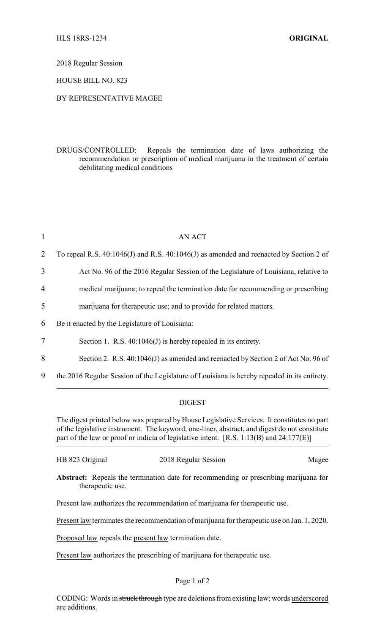2018 Regular Session

HOUSE BILL NO. 823

## BY REPRESENTATIVE MAGEE

DRUGS/CONTROLLED: Repeals the termination date of laws authorizing the recommendation or prescription of medical marijuana in the treatment of certain debilitating medical conditions

| $\mathbf{1}$   | <b>AN ACT</b>                                                                                |
|----------------|----------------------------------------------------------------------------------------------|
| 2              | To repeal R.S. 40:1046(J) and R.S. 40:1046(J) as amended and reenacted by Section 2 of       |
| 3              | Act No. 96 of the 2016 Regular Session of the Legislature of Louisiana, relative to          |
| $\overline{4}$ | medical marijuana; to repeal the termination date for recommending or prescribing            |
| 5              | marijuana for therapeutic use; and to provide for related matters.                           |
| 6              | Be it enacted by the Legislature of Louisiana:                                               |
| $\overline{7}$ | Section 1. R.S. $40:1046(J)$ is hereby repealed in its entirety.                             |
| 8              | Section 2. R.S. $40:1046(J)$ as amended and reenacted by Section 2 of Act No. 96 of          |
| 9              | the 2016 Regular Session of the Legislature of Louisiana is hereby repealed in its entirety. |

## DIGEST

The digest printed below was prepared by House Legislative Services. It constitutes no part of the legislative instrument. The keyword, one-liner, abstract, and digest do not constitute part of the law or proof or indicia of legislative intent. [R.S. 1:13(B) and 24:177(E)]

| HB 823 Original | 2018 Regular Session | Magee |
|-----------------|----------------------|-------|
|-----------------|----------------------|-------|

**Abstract:** Repeals the termination date for recommending or prescribing marijuana for therapeutic use.

Present law authorizes the recommendation of marijuana for therapeutic use.

Present law terminates the recommendation of marijuana for therapeutic use on Jan. 1, 2020.

Proposed law repeals the present law termination date.

Present law authorizes the prescribing of marijuana for therapeutic use.